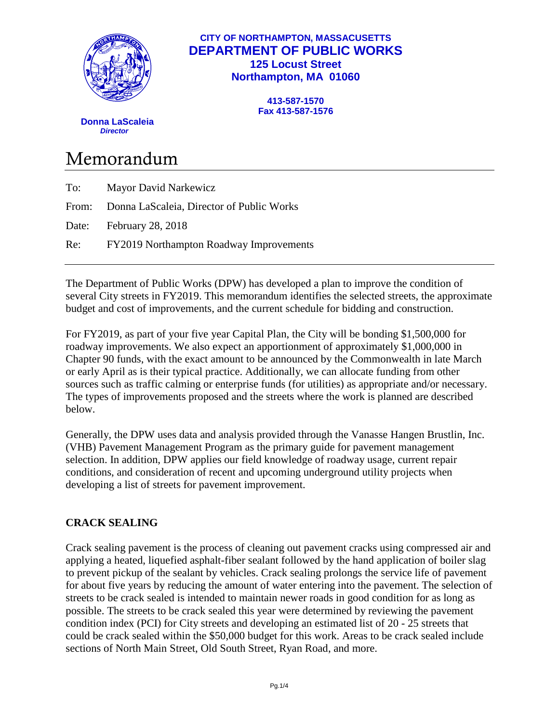

## **CITY OF NORTHAMPTON, MASSACUSETTS DEPARTMENT OF PUBLIC WORKS 125 Locust Street Northampton, MA 01060**

**413-587-1570 Fax 413-587-1576**

 **Donna LaScaleia**  *Director*

# Memorandum

| To: | <b>Mayor David Narkewicz</b>                    |
|-----|-------------------------------------------------|
|     | From: Donna LaScaleia, Director of Public Works |
|     | Date: February 28, 2018                         |
|     | Re: FY2019 Northampton Roadway Improvements     |
|     |                                                 |

The Department of Public Works (DPW) has developed a plan to improve the condition of several City streets in FY2019. This memorandum identifies the selected streets, the approximate budget and cost of improvements, and the current schedule for bidding and construction.

For FY2019, as part of your five year Capital Plan, the City will be bonding \$1,500,000 for roadway improvements. We also expect an apportionment of approximately \$1,000,000 in Chapter 90 funds, with the exact amount to be announced by the Commonwealth in late March or early April as is their typical practice. Additionally, we can allocate funding from other sources such as traffic calming or enterprise funds (for utilities) as appropriate and/or necessary. The types of improvements proposed and the streets where the work is planned are described below.

Generally, the DPW uses data and analysis provided through the Vanasse Hangen Brustlin, Inc. (VHB) Pavement Management Program as the primary guide for pavement management selection. In addition, DPW applies our field knowledge of roadway usage, current repair conditions, and consideration of recent and upcoming underground utility projects when developing a list of streets for pavement improvement.

# **CRACK SEALING**

Crack sealing pavement is the process of cleaning out pavement cracks using compressed air and applying a heated, liquefied asphalt-fiber sealant followed by the hand application of boiler slag to prevent pickup of the sealant by vehicles. Crack sealing prolongs the service life of pavement for about five years by reducing the amount of water entering into the pavement. The selection of streets to be crack sealed is intended to maintain newer roads in good condition for as long as possible. The streets to be crack sealed this year were determined by reviewing the pavement condition index (PCI) for City streets and developing an estimated list of 20 - 25 streets that could be crack sealed within the \$50,000 budget for this work. Areas to be crack sealed include sections of North Main Street, Old South Street, Ryan Road, and more.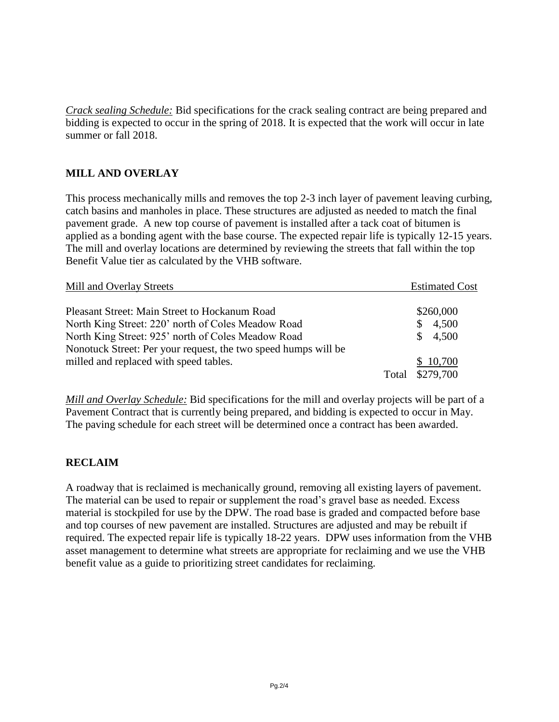*Crack sealing Schedule:* Bid specifications for the crack sealing contract are being prepared and bidding is expected to occur in the spring of 2018. It is expected that the work will occur in late summer or fall 2018.

## **MILL AND OVERLAY**

This process mechanically mills and removes the top 2-3 inch layer of pavement leaving curbing, catch basins and manholes in place. These structures are adjusted as needed to match the final pavement grade. A new top course of pavement is installed after a tack coat of bitumen is applied as a bonding agent with the base course. The expected repair life is typically 12-15 years. The mill and overlay locations are determined by reviewing the streets that fall within the top Benefit Value tier as calculated by the VHB software.

| Mill and Overlay Streets                                       |       | <b>Estimated Cost</b> |
|----------------------------------------------------------------|-------|-----------------------|
| Pleasant Street: Main Street to Hockanum Road                  |       | \$260,000             |
| North King Street: 220' north of Coles Meadow Road             |       | 4,500<br>S.           |
| North King Street: 925' north of Coles Meadow Road             |       | 4,500<br>SS.          |
| Nonotuck Street: Per your request, the two speed humps will be |       |                       |
| milled and replaced with speed tables.                         |       | \$10,700              |
|                                                                | Total | \$279,700             |

*Mill and Overlay Schedule:* Bid specifications for the mill and overlay projects will be part of a Pavement Contract that is currently being prepared, and bidding is expected to occur in May. The paving schedule for each street will be determined once a contract has been awarded.

#### **RECLAIM**

A roadway that is reclaimed is mechanically ground, removing all existing layers of pavement. The material can be used to repair or supplement the road's gravel base as needed. Excess material is stockpiled for use by the DPW. The road base is graded and compacted before base and top courses of new pavement are installed. Structures are adjusted and may be rebuilt if required. The expected repair life is typically 18-22 years. DPW uses information from the VHB asset management to determine what streets are appropriate for reclaiming and we use the VHB benefit value as a guide to prioritizing street candidates for reclaiming.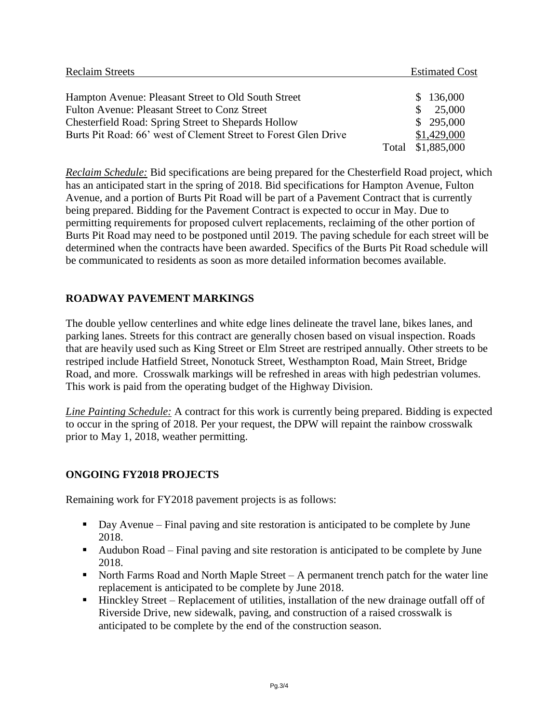| <b>Reclaim Streets</b>                                          |       | <b>Estimated Cost</b> |
|-----------------------------------------------------------------|-------|-----------------------|
| Hampton Avenue: Pleasant Street to Old South Street             |       | \$136,000             |
| Fulton Avenue: Pleasant Street to Conz Street                   |       | 25,000                |
| Chesterfield Road: Spring Street to Shepards Hollow             |       | \$295,000             |
| Burts Pit Road: 66' west of Clement Street to Forest Glen Drive |       | \$1,429,000           |
|                                                                 | Total | \$1,885,000           |

*Reclaim Schedule:* Bid specifications are being prepared for the Chesterfield Road project, which has an anticipated start in the spring of 2018. Bid specifications for Hampton Avenue, Fulton Avenue, and a portion of Burts Pit Road will be part of a Pavement Contract that is currently being prepared. Bidding for the Pavement Contract is expected to occur in May. Due to permitting requirements for proposed culvert replacements, reclaiming of the other portion of Burts Pit Road may need to be postponed until 2019. The paving schedule for each street will be determined when the contracts have been awarded. Specifics of the Burts Pit Road schedule will be communicated to residents as soon as more detailed information becomes available.

# **ROADWAY PAVEMENT MARKINGS**

The double yellow centerlines and white edge lines delineate the travel lane, bikes lanes, and parking lanes. Streets for this contract are generally chosen based on visual inspection. Roads that are heavily used such as King Street or Elm Street are restriped annually. Other streets to be restriped include Hatfield Street, Nonotuck Street, Westhampton Road, Main Street, Bridge Road, and more. Crosswalk markings will be refreshed in areas with high pedestrian volumes. This work is paid from the operating budget of the Highway Division.

*Line Painting Schedule:* A contract for this work is currently being prepared. Bidding is expected to occur in the spring of 2018. Per your request, the DPW will repaint the rainbow crosswalk prior to May 1, 2018, weather permitting.

### **ONGOING FY2018 PROJECTS**

Remaining work for FY2018 pavement projects is as follows:

- Day Avenue Final paving and site restoration is anticipated to be complete by June 2018.
- Audubon Road Final paving and site restoration is anticipated to be complete by June 2018.
- North Farms Road and North Maple Street  $A$  permanent trench patch for the water line replacement is anticipated to be complete by June 2018.
- $\blacksquare$  Hinckley Street Replacement of utilities, installation of the new drainage outfall off of Riverside Drive, new sidewalk, paving, and construction of a raised crosswalk is anticipated to be complete by the end of the construction season.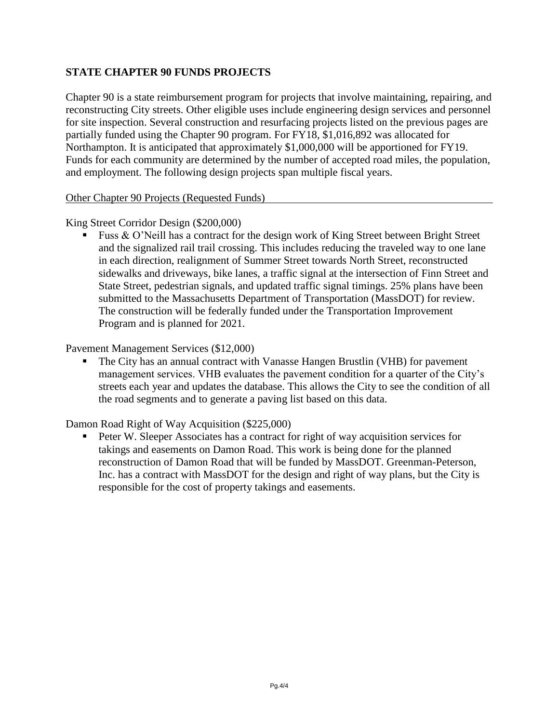## **STATE CHAPTER 90 FUNDS PROJECTS**

Chapter 90 is a state reimbursement program for projects that involve maintaining, repairing, and reconstructing City streets. Other eligible uses include engineering design services and personnel for site inspection. Several construction and resurfacing projects listed on the previous pages are partially funded using the Chapter 90 program. For FY18, \$1,016,892 was allocated for Northampton. It is anticipated that approximately \$1,000,000 will be apportioned for FY19. Funds for each community are determined by the number of accepted road miles, the population, and employment. The following design projects span multiple fiscal years.

Other Chapter 90 Projects (Requested Funds)

King Street Corridor Design (\$200,000)

**Fuss & O'Neill has a contract for the design work of King Street between Bright Street** and the signalized rail trail crossing. This includes reducing the traveled way to one lane in each direction, realignment of Summer Street towards North Street, reconstructed sidewalks and driveways, bike lanes, a traffic signal at the intersection of Finn Street and State Street, pedestrian signals, and updated traffic signal timings. 25% plans have been submitted to the Massachusetts Department of Transportation (MassDOT) for review. The construction will be federally funded under the Transportation Improvement Program and is planned for 2021.

Pavement Management Services (\$12,000)

 The City has an annual contract with Vanasse Hangen Brustlin (VHB) for pavement management services. VHB evaluates the pavement condition for a quarter of the City's streets each year and updates the database. This allows the City to see the condition of all the road segments and to generate a paving list based on this data.

Damon Road Right of Way Acquisition (\$225,000)

 Peter W. Sleeper Associates has a contract for right of way acquisition services for takings and easements on Damon Road. This work is being done for the planned reconstruction of Damon Road that will be funded by MassDOT. Greenman-Peterson, Inc. has a contract with MassDOT for the design and right of way plans, but the City is responsible for the cost of property takings and easements.